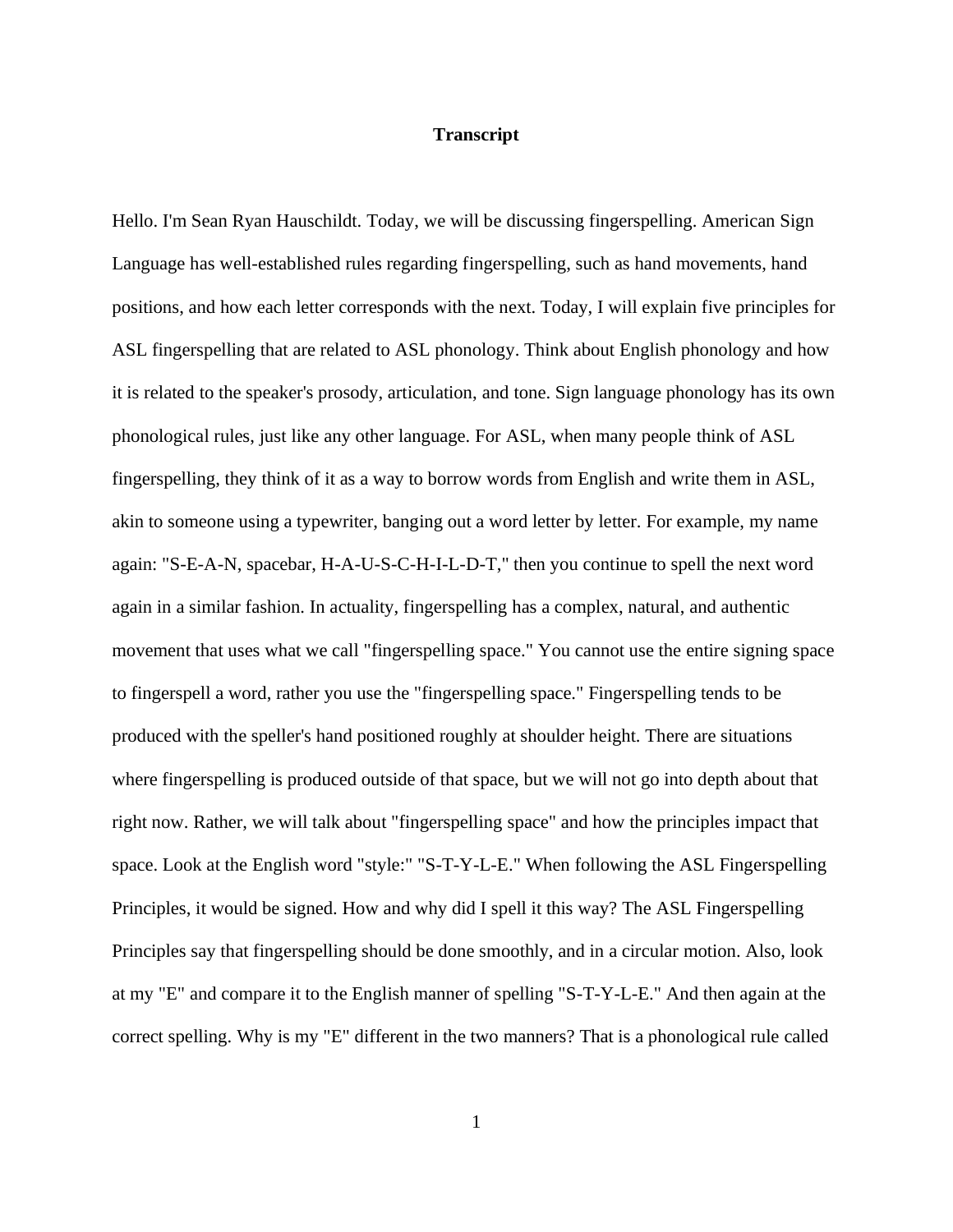## **Transcript**

Hello. I'm Sean Ryan Hauschildt. Today, we will be discussing fingerspelling. American Sign Language has well-established rules regarding fingerspelling, such as hand movements, hand positions, and how each letter corresponds with the next. Today, I will explain five principles for ASL fingerspelling that are related to ASL phonology. Think about English phonology and how it is related to the speaker's prosody, articulation, and tone. Sign language phonology has its own phonological rules, just like any other language. For ASL, when many people think of ASL fingerspelling, they think of it as a way to borrow words from English and write them in ASL, akin to someone using a typewriter, banging out a word letter by letter. For example, my name again: "S-E-A-N, spacebar, H-A-U-S-C-H-I-L-D-T," then you continue to spell the next word again in a similar fashion. In actuality, fingerspelling has a complex, natural, and authentic movement that uses what we call "fingerspelling space." You cannot use the entire signing space to fingerspell a word, rather you use the "fingerspelling space." Fingerspelling tends to be produced with the speller's hand positioned roughly at shoulder height. There are situations where fingerspelling is produced outside of that space, but we will not go into depth about that right now. Rather, we will talk about "fingerspelling space" and how the principles impact that space. Look at the English word "style:" "S-T-Y-L-E." When following the ASL Fingerspelling Principles, it would be signed. How and why did I spell it this way? The ASL Fingerspelling Principles say that fingerspelling should be done smoothly, and in a circular motion. Also, look at my "E" and compare it to the English manner of spelling "S-T-Y-L-E." And then again at the correct spelling. Why is my "E" different in the two manners? That is a phonological rule called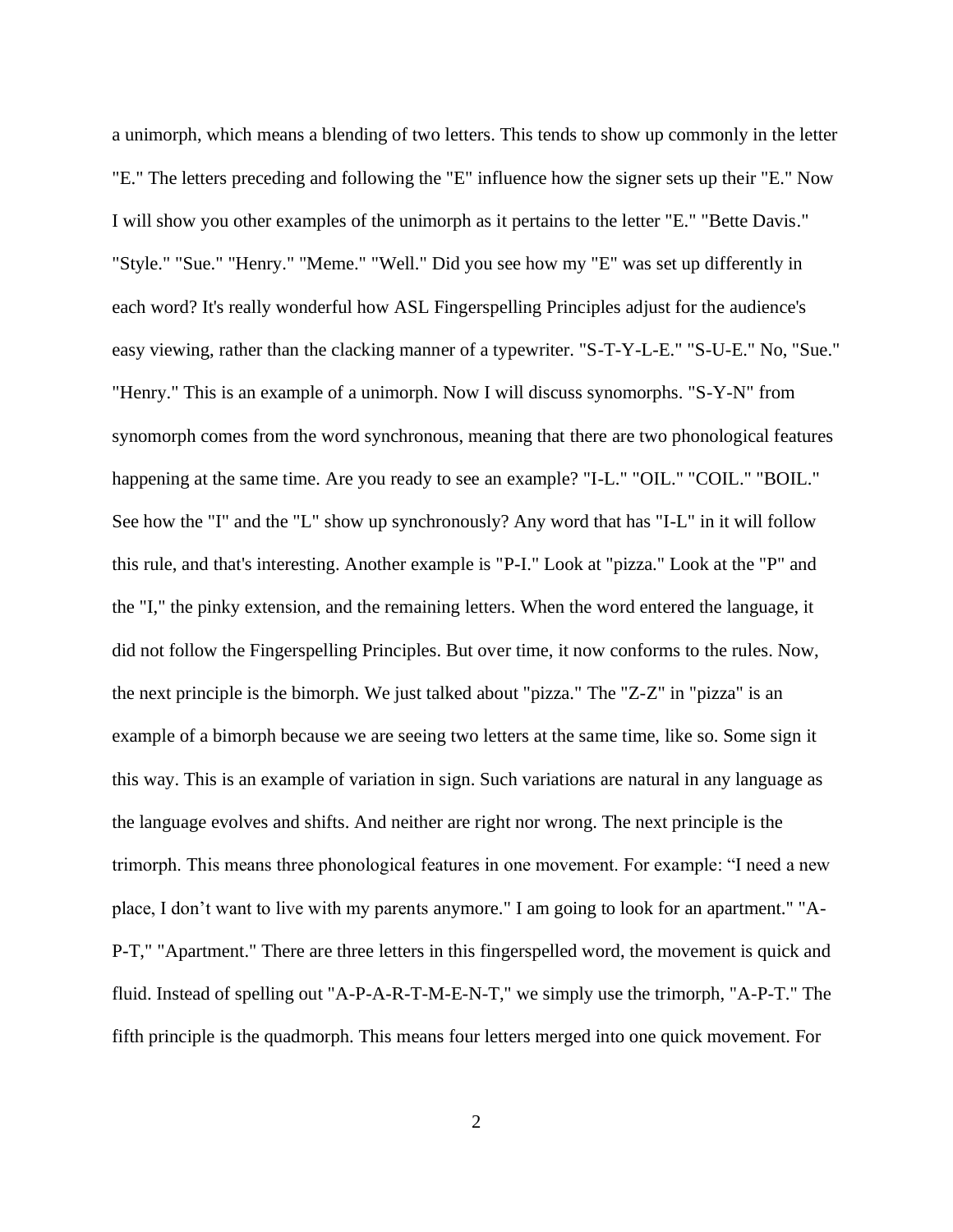a unimorph, which means a blending of two letters. This tends to show up commonly in the letter "E." The letters preceding and following the "E" influence how the signer sets up their "E." Now I will show you other examples of the unimorph as it pertains to the letter "E." "Bette Davis." "Style." "Sue." "Henry." "Meme." "Well." Did you see how my "E" was set up differently in each word? It's really wonderful how ASL Fingerspelling Principles adjust for the audience's easy viewing, rather than the clacking manner of a typewriter. "S-T-Y-L-E." "S-U-E." No, "Sue." "Henry." This is an example of a unimorph. Now I will discuss synomorphs. "S-Y-N" from synomorph comes from the word synchronous, meaning that there are two phonological features happening at the same time. Are you ready to see an example? "I-L." "OIL." "COIL." "BOIL." See how the "I" and the "L" show up synchronously? Any word that has "I-L" in it will follow this rule, and that's interesting. Another example is "P-I." Look at "pizza." Look at the "P" and the "I," the pinky extension, and the remaining letters. When the word entered the language, it did not follow the Fingerspelling Principles. But over time, it now conforms to the rules. Now, the next principle is the bimorph. We just talked about "pizza." The "Z-Z" in "pizza" is an example of a bimorph because we are seeing two letters at the same time, like so. Some sign it this way. This is an example of variation in sign. Such variations are natural in any language as the language evolves and shifts. And neither are right nor wrong. The next principle is the trimorph. This means three phonological features in one movement. For example: "I need a new place, I don't want to live with my parents anymore." I am going to look for an apartment." "A-P-T," "Apartment." There are three letters in this fingerspelled word, the movement is quick and fluid. Instead of spelling out "A-P-A-R-T-M-E-N-T," we simply use the trimorph, "A-P-T." The fifth principle is the quadmorph. This means four letters merged into one quick movement. For